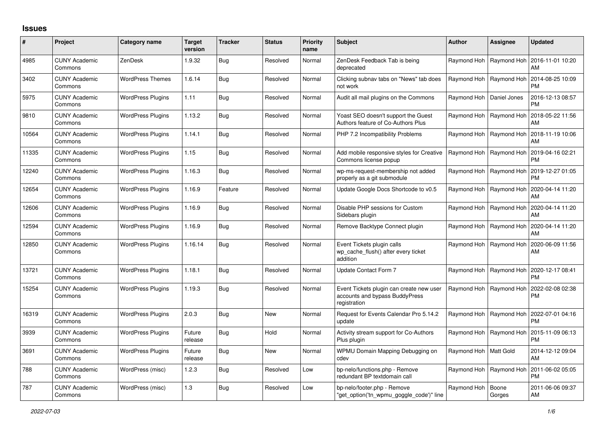## **Issues**

| #     | Project                         | <b>Category name</b>     | <b>Target</b><br>version | <b>Tracker</b> | <b>Status</b> | <b>Priority</b><br>name | <b>Subject</b>                                                                             | <b>Author</b>           | Assignee        | <b>Updated</b>                |
|-------|---------------------------------|--------------------------|--------------------------|----------------|---------------|-------------------------|--------------------------------------------------------------------------------------------|-------------------------|-----------------|-------------------------------|
| 4985  | <b>CUNY Academic</b><br>Commons | <b>ZenDesk</b>           | 1.9.32                   | Bug            | Resolved      | Normal                  | ZenDesk Feedback Tab is being<br>deprecated                                                | Raymond Hoh             | Raymond Hoh     | 2016-11-01 10:20<br>AM        |
| 3402  | <b>CUNY Academic</b><br>Commons | <b>WordPress Themes</b>  | 1.6.14                   | <b>Bug</b>     | Resolved      | Normal                  | Clicking subnav tabs on "News" tab does<br>not work                                        | Raymond Hoh             | Raymond Hoh     | 2014-08-25 10:09<br>PM        |
| 5975  | <b>CUNY Academic</b><br>Commons | <b>WordPress Plugins</b> | 1.11                     | Bug            | Resolved      | Normal                  | Audit all mail plugins on the Commons                                                      | Raymond Hoh             | Daniel Jones    | 2016-12-13 08:57<br><b>PM</b> |
| 9810  | <b>CUNY Academic</b><br>Commons | <b>WordPress Plugins</b> | 1.13.2                   | Bug            | Resolved      | Normal                  | Yoast SEO doesn't support the Guest<br>Authors feature of Co-Authors Plus                  | Raymond Hoh             | Raymond Hoh     | 2018-05-22 11:56<br>AM        |
| 10564 | <b>CUNY Academic</b><br>Commons | <b>WordPress Plugins</b> | 1.14.1                   | Bug            | Resolved      | Normal                  | PHP 7.2 Incompatibility Problems                                                           | Raymond Hoh             | Raymond Hoh     | 2018-11-19 10:06<br>AM        |
| 11335 | <b>CUNY Academic</b><br>Commons | <b>WordPress Plugins</b> | 1.15                     | Bug            | Resolved      | Normal                  | Add mobile responsive styles for Creative<br>Commons license popup                         | Raymond Hoh             | Raymond Hoh     | 2019-04-16 02:21<br><b>PM</b> |
| 12240 | <b>CUNY Academic</b><br>Commons | <b>WordPress Plugins</b> | 1.16.3                   | Bug            | Resolved      | Normal                  | wp-ms-request-membership not added<br>properly as a git submodule                          | Raymond Hoh             | Raymond Hoh     | 2019-12-27 01:05<br><b>PM</b> |
| 12654 | <b>CUNY Academic</b><br>Commons | <b>WordPress Plugins</b> | 1.16.9                   | Feature        | Resolved      | Normal                  | Update Google Docs Shortcode to v0.5                                                       | Raymond Hoh             | Raymond Hoh     | 2020-04-14 11:20<br>AM        |
| 12606 | <b>CUNY Academic</b><br>Commons | <b>WordPress Plugins</b> | 1.16.9                   | Bug            | Resolved      | Normal                  | Disable PHP sessions for Custom<br>Sidebars plugin                                         | Raymond Hoh             | Raymond Hoh     | 2020-04-14 11:20<br>AM        |
| 12594 | <b>CUNY Academic</b><br>Commons | <b>WordPress Plugins</b> | 1.16.9                   | Bug            | Resolved      | Normal                  | Remove Backtype Connect plugin                                                             | Raymond Hoh             | Raymond Hoh     | 2020-04-14 11:20<br>AM        |
| 12850 | <b>CUNY Academic</b><br>Commons | <b>WordPress Plugins</b> | 1.16.14                  | Bug            | Resolved      | Normal                  | Event Tickets plugin calls<br>wp_cache_flush() after every ticket<br>addition              | Raymond Hoh             | Raymond Hoh     | 2020-06-09 11:56<br>AM        |
| 13721 | <b>CUNY Academic</b><br>Commons | <b>WordPress Plugins</b> | 1.18.1                   | Bug            | Resolved      | Normal                  | Update Contact Form 7                                                                      | Raymond Hoh             | Raymond Hoh     | 2020-12-17 08:41<br><b>PM</b> |
| 15254 | <b>CUNY Academic</b><br>Commons | <b>WordPress Plugins</b> | 1.19.3                   | Bug            | Resolved      | Normal                  | Event Tickets plugin can create new user<br>accounts and bypass BuddyPress<br>registration | Raymond Hoh             | Raymond Hoh     | 2022-02-08 02:38<br>PM        |
| 16319 | <b>CUNY Academic</b><br>Commons | <b>WordPress Plugins</b> | 2.0.3                    | Bug            | <b>New</b>    | Normal                  | Request for Events Calendar Pro 5.14.2<br>update                                           | Raymond Hoh             | Raymond Hoh     | 2022-07-01 04:16<br>PM.       |
| 3939  | <b>CUNY Academic</b><br>Commons | <b>WordPress Plugins</b> | Future<br>release        | Bug            | Hold          | Normal                  | Activity stream support for Co-Authors<br>Plus plugin                                      | Raymond Hoh             | Raymond Hoh     | 2015-11-09 06:13<br><b>PM</b> |
| 3691  | <b>CUNY Academic</b><br>Commons | <b>WordPress Plugins</b> | Future<br>release        | Bug            | <b>New</b>    | Normal                  | WPMU Domain Mapping Debugging on<br>cdev                                                   | Raymond Hoh   Matt Gold |                 | 2014-12-12 09:04<br>AM        |
| 788   | <b>CUNY Academic</b><br>Commons | WordPress (misc)         | 1.2.3                    | Bug            | Resolved      | Low                     | bp-nelo/functions.php - Remove<br>redundant BP textdomain call                             | Raymond Hoh             | Raymond Hoh     | 2011-06-02 05:05<br><b>PM</b> |
| 787   | <b>CUNY Academic</b><br>Commons | WordPress (misc)         | 1.3                      | Bug            | Resolved      | Low                     | bp-nelo/footer.php - Remove<br>"get_option('tn_wpmu_goggle_code')" line                    | Raymond Hoh             | Boone<br>Gorges | 2011-06-06 09:37<br>AM        |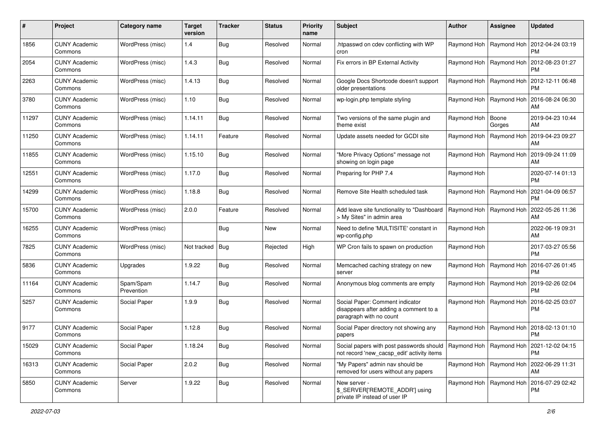| #     | Project                         | <b>Category name</b>    | <b>Target</b><br>version | <b>Tracker</b> | <b>Status</b> | <b>Priority</b><br>name | <b>Subject</b>                                                                                                                        | <b>Author</b>             | <b>Assignee</b>           | <b>Updated</b>                                     |
|-------|---------------------------------|-------------------------|--------------------------|----------------|---------------|-------------------------|---------------------------------------------------------------------------------------------------------------------------------------|---------------------------|---------------------------|----------------------------------------------------|
| 1856  | <b>CUNY Academic</b><br>Commons | WordPress (misc)        | 1.4                      | Bug            | Resolved      | Normal                  | .htpasswd on cdev conflicting with WP<br>cron                                                                                         |                           | Raymond Hoh   Raymond Hoh | 2012-04-24 03:19<br><b>PM</b>                      |
| 2054  | <b>CUNY Academic</b><br>Commons | WordPress (misc)        | 1.4.3                    | <b>Bug</b>     | Resolved      | Normal                  | Fix errors in BP External Activity                                                                                                    |                           | Raymond Hoh   Raymond Hoh | 2012-08-23 01:27<br><b>PM</b>                      |
| 2263  | <b>CUNY Academic</b><br>Commons | WordPress (misc)        | 1.4.13                   | Bug            | Resolved      | Normal                  | Google Docs Shortcode doesn't support<br>older presentations                                                                          |                           | Raymond Hoh   Raymond Hoh | 2012-12-11 06:48<br><b>PM</b>                      |
| 3780  | <b>CUNY Academic</b><br>Commons | WordPress (misc)        | 1.10                     | Bug            | Resolved      | Normal                  | wp-login.php template styling                                                                                                         | Raymond Hoh   Raymond Hoh |                           | 2016-08-24 06:30<br>AM                             |
| 11297 | <b>CUNY Academic</b><br>Commons | WordPress (misc)        | 1.14.11                  | Bug            | Resolved      | Normal                  | Two versions of the same plugin and<br>theme exist                                                                                    | Raymond Hoh               | Boone<br>Gorges           | 2019-04-23 10:44<br>AM                             |
| 11250 | <b>CUNY Academic</b><br>Commons | WordPress (misc)        | 1.14.11                  | Feature        | Resolved      | Normal                  | Update assets needed for GCDI site                                                                                                    |                           | Raymond Hoh   Raymond Hoh | 2019-04-23 09:27<br>AM                             |
| 11855 | <b>CUNY Academic</b><br>Commons | WordPress (misc)        | 1.15.10                  | Bug            | Resolved      | Normal                  | "More Privacy Options" message not<br>showing on login page                                                                           |                           | Raymond Hoh   Raymond Hoh | 2019-09-24 11:09<br>AM                             |
| 12551 | <b>CUNY Academic</b><br>Commons | WordPress (misc)        | 1.17.0                   | Bug            | Resolved      | Normal                  | Preparing for PHP 7.4                                                                                                                 | Raymond Hoh               |                           | 2020-07-14 01:13<br><b>PM</b>                      |
| 14299 | <b>CUNY Academic</b><br>Commons | WordPress (misc)        | 1.18.8                   | <b>Bug</b>     | Resolved      | Normal                  | Remove Site Health scheduled task                                                                                                     | Raymond Hoh   Raymond Hoh |                           | 2021-04-09 06:57<br><b>PM</b>                      |
| 15700 | <b>CUNY Academic</b><br>Commons | WordPress (misc)        | 2.0.0                    | Feature        | Resolved      | Normal                  | Add leave site functionality to "Dashboard<br>> My Sites" in admin area                                                               | Raymond Hoh   Raymond Hoh |                           | 2022-05-26 11:36<br>AM                             |
| 16255 | <b>CUNY Academic</b><br>Commons | WordPress (misc)        |                          | Bug            | <b>New</b>    | Normal                  | Need to define 'MULTISITE' constant in<br>wp-config.php                                                                               | Raymond Hoh               |                           | 2022-06-19 09:31<br>AM                             |
| 7825  | <b>CUNY Academic</b><br>Commons | WordPress (misc)        | Not tracked   Bug        |                | Rejected      | High                    | WP Cron fails to spawn on production                                                                                                  | Raymond Hoh               |                           | 2017-03-27 05:56<br><b>PM</b>                      |
| 5836  | <b>CUNY Academic</b><br>Commons | Upgrades                | 1.9.22                   | <b>Bug</b>     | Resolved      | Normal                  | Memcached caching strategy on new<br>server                                                                                           |                           | Raymond Hoh   Raymond Hoh | 2016-07-26 01:45<br><b>PM</b>                      |
| 11164 | <b>CUNY Academic</b><br>Commons | Spam/Spam<br>Prevention | 1.14.7                   | Bug            | Resolved      | Normal                  | Anonymous blog comments are empty                                                                                                     | Raymond Hoh   Raymond Hoh |                           | 2019-02-26 02:04<br><b>PM</b>                      |
| 5257  | <b>CUNY Academic</b><br>Commons | Social Paper            | 1.9.9                    | Bug            | Resolved      | Normal                  | Social Paper: Comment indicator<br>disappears after adding a comment to a<br>paragraph with no count                                  | Raymond Hoh   Raymond Hoh |                           | 2016-02-25 03:07<br><b>PM</b>                      |
| 9177  | <b>CUNY Academic</b><br>Commons | Social Paper            | 1.12.8                   | Bug            | Resolved      | Normal                  | Social Paper directory not showing any<br>papers                                                                                      | Raymond Hoh               | Raymond Hoh               | 2018-02-13 01:10<br><b>PM</b>                      |
| 15029 | <b>CUNY Academic</b><br>Commons | Social Paper            | 1.18.24                  | <b>Bug</b>     | Resolved      | Normal                  | Social papers with post passwords should   Raymond Hoh   Raymond Hoh   2021-12-02 04:15<br>not record 'new_cacsp_edit' activity items |                           |                           | <b>PM</b>                                          |
| 16313 | <b>CUNY Academic</b><br>Commons | Social Paper            | 2.0.2                    | Bug            | Resolved      | Normal                  | "My Papers" admin nav should be<br>removed for users without any papers                                                               |                           |                           | Raymond Hoh   Raymond Hoh   2022-06-29 11:31<br>AM |
| 5850  | <b>CUNY Academic</b><br>Commons | Server                  | 1.9.22                   | Bug            | Resolved      | Normal                  | New server -<br>\$_SERVER['REMOTE_ADDR'] using<br>private IP instead of user IP                                                       |                           | Raymond Hoh   Raymond Hoh | 2016-07-29 02:42<br>PM                             |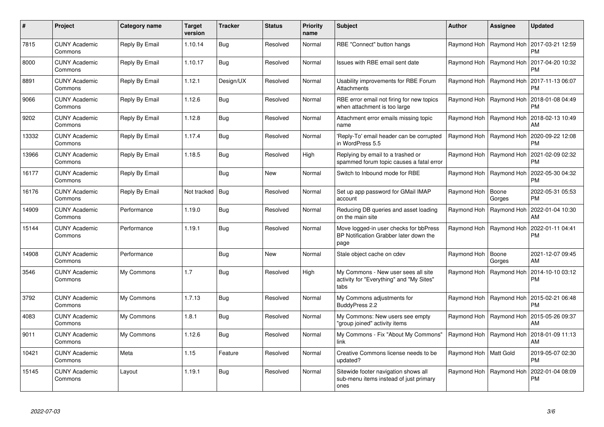| #     | Project                         | Category name  | <b>Target</b><br>version | <b>Tracker</b> | <b>Status</b> | <b>Priority</b><br>name | <b>Subject</b>                                                                           | <b>Author</b>             | <b>Assignee</b>           | <b>Updated</b>                |
|-------|---------------------------------|----------------|--------------------------|----------------|---------------|-------------------------|------------------------------------------------------------------------------------------|---------------------------|---------------------------|-------------------------------|
| 7815  | <b>CUNY Academic</b><br>Commons | Reply By Email | 1.10.14                  | Bug            | Resolved      | Normal                  | RBE "Connect" button hangs                                                               |                           | Raymond Hoh   Raymond Hoh | 2017-03-21 12:59<br><b>PM</b> |
| 8000  | <b>CUNY Academic</b><br>Commons | Reply By Email | 1.10.17                  | Bug            | Resolved      | Normal                  | Issues with RBE email sent date                                                          |                           | Raymond Hoh   Raymond Hoh | 2017-04-20 10:32<br><b>PM</b> |
| 8891  | <b>CUNY Academic</b><br>Commons | Reply By Email | 1.12.1                   | Design/UX      | Resolved      | Normal                  | Usability improvements for RBE Forum<br>Attachments                                      | Raymond Hoh   Raymond Hoh |                           | 2017-11-13 06:07<br><b>PM</b> |
| 9066  | <b>CUNY Academic</b><br>Commons | Reply By Email | 1.12.6                   | Bug            | Resolved      | Normal                  | RBE error email not firing for new topics<br>when attachment is too large                |                           | Raymond Hoh   Raymond Hoh | 2018-01-08 04:49<br><b>PM</b> |
| 9202  | <b>CUNY Academic</b><br>Commons | Reply By Email | 1.12.8                   | Bug            | Resolved      | Normal                  | Attachment error emails missing topic<br>name                                            |                           | Raymond Hoh   Raymond Hoh | 2018-02-13 10:49<br>AM        |
| 13332 | <b>CUNY Academic</b><br>Commons | Reply By Email | 1.17.4                   | Bug            | Resolved      | Normal                  | 'Reply-To' email header can be corrupted<br>in WordPress 5.5                             |                           | Raymond Hoh   Raymond Hoh | 2020-09-22 12:08<br><b>PM</b> |
| 13966 | <b>CUNY Academic</b><br>Commons | Reply By Email | 1.18.5                   | Bug            | Resolved      | High                    | Replying by email to a trashed or<br>spammed forum topic causes a fatal error            |                           | Raymond Hoh   Raymond Hoh | 2021-02-09 02:32<br><b>PM</b> |
| 16177 | <b>CUNY Academic</b><br>Commons | Reply By Email |                          | Bug            | <b>New</b>    | Normal                  | Switch to Inbound mode for RBE                                                           |                           | Raymond Hoh   Raymond Hoh | 2022-05-30 04:32<br><b>PM</b> |
| 16176 | <b>CUNY Academic</b><br>Commons | Reply By Email | Not tracked   Bug        |                | Resolved      | Normal                  | Set up app password for GMail IMAP<br>account                                            | Raymond Hoh               | Boone<br>Gorges           | 2022-05-31 05:53<br><b>PM</b> |
| 14909 | <b>CUNY Academic</b><br>Commons | Performance    | 1.19.0                   | Bug            | Resolved      | Normal                  | Reducing DB queries and asset loading<br>on the main site                                | Raymond Hoh               | Raymond Hoh               | 2022-01-04 10:30<br>AM        |
| 15144 | <b>CUNY Academic</b><br>Commons | Performance    | 1.19.1                   | Bug            | Resolved      | Normal                  | Move logged-in user checks for bbPress<br>BP Notification Grabber later down the<br>page |                           | Raymond Hoh   Raymond Hoh | 2022-01-11 04:41<br><b>PM</b> |
| 14908 | CUNY Academic<br>Commons        | Performance    |                          | Bug            | New           | Normal                  | Stale object cache on cdev                                                               | Raymond Hoh               | Boone<br>Gorges           | 2021-12-07 09:45<br>AM        |
| 3546  | <b>CUNY Academic</b><br>Commons | My Commons     | 1.7                      | Bug            | Resolved      | High                    | My Commons - New user sees all site<br>activity for "Everything" and "My Sites"<br>tabs  |                           | Raymond Hoh   Raymond Hoh | 2014-10-10 03:12<br><b>PM</b> |
| 3792  | CUNY Academic<br>Commons        | My Commons     | 1.7.13                   | Bug            | Resolved      | Normal                  | My Commons adjustments for<br>BuddyPress 2.2                                             | Raymond Hoh               | Raymond Hoh               | 2015-02-21 06:48<br><b>PM</b> |
| 4083  | <b>CUNY Academic</b><br>Commons | My Commons     | 1.8.1                    | Bug            | Resolved      | Normal                  | My Commons: New users see empty<br>"group joined" activity items                         |                           | Raymond Hoh   Raymond Hoh | 2015-05-26 09:37<br>AM        |
| 9011  | <b>CUNY Academic</b><br>Commons | My Commons     | 1.12.6                   | <b>Bug</b>     | Resolved      | Normal                  | My Commons - Fix "About My Commons"<br>link                                              | Raymond Hoh   Raymond Hoh |                           | 2018-01-09 11:13<br>AM        |
| 10421 | <b>CUNY Academic</b><br>Commons | Meta           | 1.15                     | Feature        | Resolved      | Normal                  | Creative Commons license needs to be<br>updated?                                         | Raymond Hoh   Matt Gold   |                           | 2019-05-07 02:30<br><b>PM</b> |
| 15145 | <b>CUNY Academic</b><br>Commons | Layout         | 1.19.1                   | Bug            | Resolved      | Normal                  | Sitewide footer navigation shows all<br>sub-menu items instead of just primary<br>ones   | Raymond Hoh   Raymond Hoh |                           | 2022-01-04 08:09<br><b>PM</b> |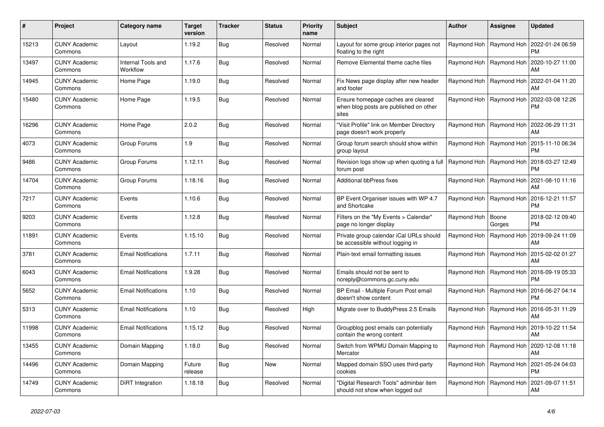| #     | Project                         | <b>Category name</b>           | <b>Target</b><br>version | <b>Tracker</b> | <b>Status</b> | <b>Priority</b><br>name | <b>Subject</b>                                                                        | <b>Author</b> | <b>Assignee</b>           | <b>Updated</b>                                            |
|-------|---------------------------------|--------------------------------|--------------------------|----------------|---------------|-------------------------|---------------------------------------------------------------------------------------|---------------|---------------------------|-----------------------------------------------------------|
| 15213 | <b>CUNY Academic</b><br>Commons | Layout                         | 1.19.2                   | Bug            | Resolved      | Normal                  | Layout for some group interior pages not<br>floating to the right                     |               | Raymond Hoh   Raymond Hoh | 2022-01-24 06:59<br><b>PM</b>                             |
| 13497 | <b>CUNY Academic</b><br>Commons | Internal Tools and<br>Workflow | 1.17.6                   | <b>Bug</b>     | Resolved      | Normal                  | Remove Elemental theme cache files                                                    |               | Raymond Hoh   Raymond Hoh | 2020-10-27 11:00<br>AM                                    |
| 14945 | <b>CUNY Academic</b><br>Commons | Home Page                      | 1.19.0                   | Bug            | Resolved      | Normal                  | Fix News page display after new header<br>and footer                                  | Raymond Hoh   | Raymond Hoh               | 2022-01-04 11:20<br>AM                                    |
| 15480 | <b>CUNY Academic</b><br>Commons | Home Page                      | 1.19.5                   | Bug            | Resolved      | Normal                  | Ensure homepage caches are cleared<br>when blog posts are published on other<br>sites |               | Raymond Hoh   Raymond Hoh | 2022-03-08 12:26<br><b>PM</b>                             |
| 16296 | <b>CUNY Academic</b><br>Commons | Home Page                      | 2.0.2                    | Bug            | Resolved      | Normal                  | 'Visit Profile" link on Member Directory<br>page doesn't work properly                |               |                           | Raymond Hoh   Raymond Hoh   2022-06-29 11:31<br>AM        |
| 4073  | <b>CUNY Academic</b><br>Commons | Group Forums                   | 1.9                      | Bug            | Resolved      | Normal                  | Group forum search should show within<br>group layout                                 |               | Raymond Hoh   Raymond Hoh | 2015-11-10 06:34<br><b>PM</b>                             |
| 9486  | <b>CUNY Academic</b><br>Commons | Group Forums                   | 1.12.11                  | Bug            | Resolved      | Normal                  | Revision logs show up when quoting a full<br>forum post                               |               | Raymond Hoh   Raymond Hoh | 2018-03-27 12:49<br><b>PM</b>                             |
| 14704 | <b>CUNY Academic</b><br>Commons | Group Forums                   | 1.18.16                  | Bug            | Resolved      | Normal                  | <b>Additional bbPress fixes</b>                                                       |               | Raymond Hoh   Raymond Hoh | 2021-08-10 11:16<br>AM                                    |
| 7217  | <b>CUNY Academic</b><br>Commons | Events                         | 1.10.6                   | Bug            | Resolved      | Normal                  | BP Event Organiser issues with WP 4.7<br>and Shortcake                                |               | Raymond Hoh   Raymond Hoh | 2016-12-21 11:57<br><b>PM</b>                             |
| 9203  | <b>CUNY Academic</b><br>Commons | Events                         | 1.12.8                   | Bug            | Resolved      | Normal                  | Filters on the "My Events > Calendar"<br>page no longer display                       | Raymond Hoh   | Boone<br>Gorges           | 2018-02-12 09:40<br><b>PM</b>                             |
| 11891 | CUNY Academic<br>Commons        | Events                         | 1.15.10                  | Bug            | Resolved      | Normal                  | Private group calendar iCal URLs should<br>be accessible without logging in           |               | Raymond Hoh   Raymond Hoh | 2019-09-24 11:09<br>AM                                    |
| 3781  | <b>CUNY Academic</b><br>Commons | <b>Email Notifications</b>     | 1.7.11                   | Bug            | Resolved      | Normal                  | Plain-text email formatting issues                                                    |               | Raymond Hoh   Raymond Hoh | 2015-02-02 01:27<br>AM                                    |
| 6043  | <b>CUNY Academic</b><br>Commons | <b>Email Notifications</b>     | 1.9.28                   | Bug            | Resolved      | Normal                  | Emails should not be sent to<br>noreply@commons.gc.cuny.edu                           |               | Raymond Hoh   Raymond Hoh | 2016-09-19 05:33<br><b>PM</b>                             |
| 5652  | <b>CUNY Academic</b><br>Commons | <b>Email Notifications</b>     | 1.10                     | Bug            | Resolved      | Normal                  | BP Email - Multiple Forum Post email<br>doesn't show content                          | Raymond Hoh   | Raymond Hoh               | 2016-06-27 04:14<br><b>PM</b>                             |
| 5313  | <b>CUNY Academic</b><br>Commons | <b>Email Notifications</b>     | 1.10                     | Bug            | Resolved      | High                    | Migrate over to BuddyPress 2.5 Emails                                                 |               |                           | Raymond Hoh   Raymond Hoh   2016-05-31 11:29<br>AM        |
| 11998 | <b>CUNY Academic</b><br>Commons | <b>Email Notifications</b>     | 1.15.12                  | Bug            | Resolved      | Normal                  | Groupblog post emails can potentially<br>contain the wrong content                    |               | Raymond Hoh   Raymond Hoh | 2019-10-22 11:54<br>AM                                    |
| 13455 | <b>CUNY Academic</b><br>Commons | Domain Mapping                 | 1.18.0                   | Bug            | Resolved      | Normal                  | Switch from WPMU Domain Mapping to<br>Mercator                                        |               | Raymond Hoh   Raymond Hoh | 2020-12-08 11:18<br>AM                                    |
| 14496 | <b>CUNY Academic</b><br>Commons | Domain Mapping                 | Future<br>release        | Bug            | <b>New</b>    | Normal                  | Mapped domain SSO uses third-party<br>cookies                                         |               |                           | Raymond Hoh   Raymond Hoh   2021-05-24 04:03<br><b>PM</b> |
| 14749 | CUNY Academic<br>Commons        | DiRT Integration               | 1.18.18                  | Bug            | Resolved      | Normal                  | 'Digital Research Tools" adminbar item<br>should not show when logged out             |               | Raymond Hoh   Raymond Hoh | 2021-09-07 11:51<br>AM                                    |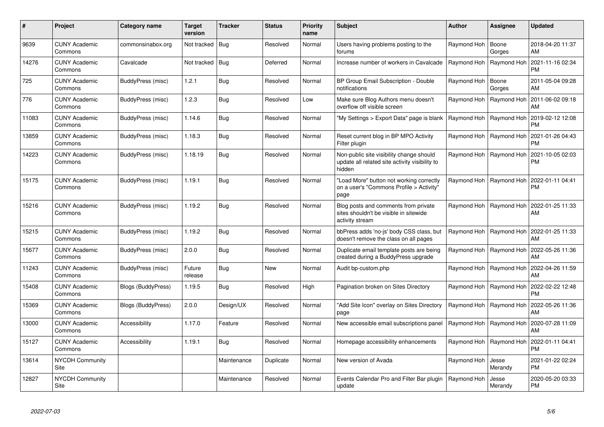| #     | Project                         | Category name            | <b>Target</b><br>version | <b>Tracker</b> | <b>Status</b> | <b>Priority</b><br>name | <b>Subject</b>                                                                                       | <b>Author</b>             | <b>Assignee</b>           | <b>Updated</b>                |
|-------|---------------------------------|--------------------------|--------------------------|----------------|---------------|-------------------------|------------------------------------------------------------------------------------------------------|---------------------------|---------------------------|-------------------------------|
| 9639  | <b>CUNY Academic</b><br>Commons | commonsinabox.org        | Not tracked              | <b>Bug</b>     | Resolved      | Normal                  | Users having problems posting to the<br>forums                                                       | Raymond Hoh               | Boone<br>Gorges           | 2018-04-20 11:37<br>AM        |
| 14276 | <b>CUNY Academic</b><br>Commons | Cavalcade                | Not tracked   Bug        |                | Deferred      | Normal                  | Increase number of workers in Cavalcade                                                              | Raymond Hoh               | Raymond Hoh               | 2021-11-16 02:34<br><b>PM</b> |
| 725   | <b>CUNY Academic</b><br>Commons | BuddyPress (misc)        | 1.2.1                    | <b>Bug</b>     | Resolved      | Normal                  | BP Group Email Subscription - Double<br>notifications                                                | Raymond Hoh               | Boone<br>Gorges           | 2011-05-04 09:28<br>AM        |
| 776   | <b>CUNY Academic</b><br>Commons | BuddyPress (misc)        | 1.2.3                    | Bug            | Resolved      | Low                     | Make sure Blog Authors menu doesn't<br>overflow off visible screen                                   | Raymond Hoh               | Raymond Hoh               | 2011-06-02 09:18<br>AM        |
| 11083 | <b>CUNY Academic</b><br>Commons | BuddyPress (misc)        | 1.14.6                   | Bug            | Resolved      | Normal                  | "My Settings > Export Data" page is blank                                                            | Raymond Hoh   Raymond Hoh |                           | 2019-02-12 12:08<br><b>PM</b> |
| 13859 | <b>CUNY Academic</b><br>Commons | BuddyPress (misc)        | 1.18.3                   | Bug            | Resolved      | Normal                  | Reset current blog in BP MPO Activity<br>Filter plugin                                               | Raymond Hoh               | Raymond Hoh               | 2021-01-26 04:43<br><b>PM</b> |
| 14223 | <b>CUNY Academic</b><br>Commons | BuddyPress (misc)        | 1.18.19                  | Bug            | Resolved      | Normal                  | Non-public site visibility change should<br>update all related site activity visibility to<br>hidden |                           | Raymond Hoh   Raymond Hoh | 2021-10-05 02:03<br><b>PM</b> |
| 15175 | <b>CUNY Academic</b><br>Commons | BuddyPress (misc)        | 1.19.1                   | Bug            | Resolved      | Normal                  | "Load More" button not working correctly<br>on a user's "Commons Profile > Activity"<br>page         | Raymond Hoh               | Raymond Hoh               | 2022-01-11 04:41<br>PM        |
| 15216 | <b>CUNY Academic</b><br>Commons | <b>BuddyPress (misc)</b> | 1.19.2                   | Bug            | Resolved      | Normal                  | Blog posts and comments from private<br>sites shouldn't be visible in sitewide<br>activity stream    |                           | Raymond Hoh   Raymond Hoh | 2022-01-25 11:33<br>AM        |
| 15215 | <b>CUNY Academic</b><br>Commons | BuddyPress (misc)        | 1.19.2                   | Bug            | Resolved      | Normal                  | bbPress adds 'no-js' body CSS class, but<br>doesn't remove the class on all pages                    | Raymond Hoh   Raymond Hoh |                           | 2022-01-25 11:33<br>AM        |
| 15677 | <b>CUNY Academic</b><br>Commons | BuddyPress (misc)        | 2.0.0                    | Bug            | Resolved      | Normal                  | Duplicate email template posts are being<br>created during a BuddyPress upgrade                      | Raymond Hoh               | Raymond Hoh               | 2022-05-26 11:36<br>AM        |
| 11243 | <b>CUNY Academic</b><br>Commons | BuddyPress (misc)        | Future<br>release        | Bug            | <b>New</b>    | Normal                  | Audit bp-custom.php                                                                                  | Raymond Hoh               | Raymond Hoh               | 2022-04-26 11:59<br>AM        |
| 15408 | <b>CUNY Academic</b><br>Commons | Blogs (BuddyPress)       | 1.19.5                   | <b>Bug</b>     | Resolved      | High                    | Pagination broken on Sites Directory                                                                 |                           | Raymond Hoh   Raymond Hoh | 2022-02-22 12:48<br>PM.       |
| 15369 | <b>CUNY Academic</b><br>Commons | Blogs (BuddyPress)       | 2.0.0                    | Design/UX      | Resolved      | Normal                  | "Add Site Icon" overlay on Sites Directory<br>page                                                   |                           | Raymond Hoh   Raymond Hoh | 2022-05-26 11:36<br>AM        |
| 13000 | <b>CUNY Academic</b><br>Commons | Accessibility            | 1.17.0                   | Feature        | Resolved      | Normal                  | New accessible email subscriptions panel                                                             | Raymond Hoh   Raymond Hoh |                           | 2020-07-28 11:09<br>AM        |
| 15127 | <b>CUNY Academic</b><br>Commons | Accessibility            | 1.19.1                   | Bug            | Resolved      | Normal                  | Homepage accessibility enhancements                                                                  |                           | Raymond Hoh   Raymond Hoh | 2022-01-11 04:41<br><b>PM</b> |
| 13614 | <b>NYCDH Community</b><br>Site  |                          |                          | Maintenance    | Duplicate     | Normal                  | New version of Avada                                                                                 | Raymond Hoh               | Jesse<br>Merandy          | 2021-01-22 02:24<br><b>PM</b> |
| 12827 | NYCDH Community<br>Site         |                          |                          | Maintenance    | Resolved      | Normal                  | Events Calendar Pro and Filter Bar plugin<br>update                                                  | Raymond Hoh               | Jesse<br>Merandy          | 2020-05-20 03:33<br>PM        |